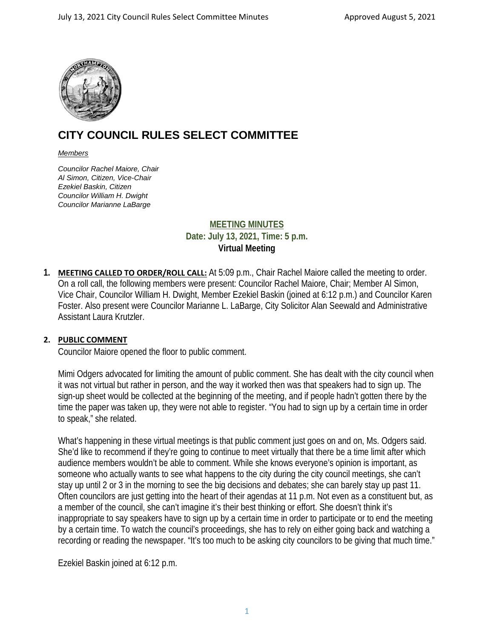

# **CITY COUNCIL RULES SELECT COMMITTEE**

#### *Members*

*Councilor Rachel Maiore, Chair Al Simon, Citizen, Vice-Chair Ezekiel Baskin, Citizen Councilor William H. Dwight Councilor Marianne LaBarge*

# **MEETING MINUTES Date: July 13, 2021, Time: 5 p.m. Virtual Meeting**

**1. MEETING CALLED TO ORDER/ROLL CALL:** At 5:09 p.m., Chair Rachel Maiore called the meeting to order. On a roll call, the following members were present: Councilor Rachel Maiore, Chair; Member Al Simon, Vice Chair, Councilor William H. Dwight, Member Ezekiel Baskin (joined at 6:12 p.m.) and Councilor Karen Foster. Also present were Councilor Marianne L. LaBarge, City Solicitor Alan Seewald and Administrative Assistant Laura Krutzler.

#### **2. PUBLIC COMMENT**

Councilor Maiore opened the floor to public comment.

Mimi Odgers advocated for limiting the amount of public comment. She has dealt with the city council when it was not virtual but rather in person, and the way it worked then was that speakers had to sign up. The sign-up sheet would be collected at the beginning of the meeting, and if people hadn't gotten there by the time the paper was taken up, they were not able to register. "You had to sign up by a certain time in order to speak," she related.

What's happening in these virtual meetings is that public comment just goes on and on, Ms. Odgers said. She'd like to recommend if they're going to continue to meet virtually that there be a time limit after which audience members wouldn't be able to comment. While she knows everyone's opinion is important, as someone who actually wants to see what happens to the city during the city council meetings, she can't stay up until 2 or 3 in the morning to see the big decisions and debates; she can barely stay up past 11. Often councilors are just getting into the heart of their agendas at 11 p.m. Not even as a constituent but, as a member of the council, she can't imagine it's their best thinking or effort. She doesn't think it's inappropriate to say speakers have to sign up by a certain time in order to participate or to end the meeting by a certain time. To watch the council's proceedings, she has to rely on either going back and watching a recording or reading the newspaper. "It's too much to be asking city councilors to be giving that much time."

Ezekiel Baskin joined at 6:12 p.m.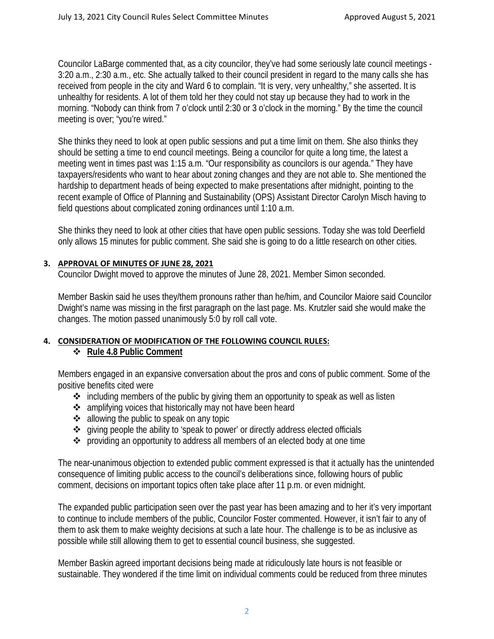Councilor LaBarge commented that, as a city councilor, they've had some seriously late council meetings - 3:20 a.m., 2:30 a.m., etc. She actually talked to their council president in regard to the many calls she has received from people in the city and Ward 6 to complain. "It is very, very unhealthy," she asserted. It is unhealthy for residents. A lot of them told her they could not stay up because they had to work in the morning. "Nobody can think from 7 o'clock until 2:30 or 3 o'clock in the morning." By the time the council meeting is over; "you're wired."

She thinks they need to look at open public sessions and put a time limit on them. She also thinks they should be setting a time to end council meetings. Being a councilor for quite a long time, the latest a meeting went in times past was 1:15 a.m. "Our responsibility as councilors is our agenda." They have taxpayers/residents who want to hear about zoning changes and they are not able to. She mentioned the hardship to department heads of being expected to make presentations after midnight, pointing to the recent example of Office of Planning and Sustainability (OPS) Assistant Director Carolyn Misch having to field questions about complicated zoning ordinances until 1:10 a.m.

She thinks they need to look at other cities that have open public sessions. Today she was told Deerfield only allows 15 minutes for public comment. She said she is going to do a little research on other cities.

### **3. APPROVAL OF MINUTES OF JUNE 28, 2021**

Councilor Dwight moved to approve the minutes of June 28, 2021. Member Simon seconded.

Member Baskin said he uses they/them pronouns rather than he/him, and Councilor Maiore said Councilor Dwight's name was missing in the first paragraph on the last page. Ms. Krutzler said she would make the changes. The motion passed unanimously 5:0 by roll call vote.

# **4. CONSIDERATION OF MODIFICATION OF THE FOLLOWING COUNCIL RULES:**

# **Rule 4.8 Public Comment**

Members engaged in an expansive conversation about the pros and cons of public comment. Some of the positive benefits cited were

- $\cdot$  including members of the public by giving them an opportunity to speak as well as listen
- ❖ amplifying voices that historically may not have been heard
- $\triangleleft$  allowing the public to speak on any topic
- giving people the ability to 'speak to power' or directly address elected officials
- providing an opportunity to address all members of an elected body at one time

The near-unanimous objection to extended public comment expressed is that it actually has the unintended consequence of limiting public access to the council's deliberations since, following hours of public comment, decisions on important topics often take place after 11 p.m. or even midnight.

The expanded public participation seen over the past year has been amazing and to her it's very important to continue to include members of the public, Councilor Foster commented. However, it isn't fair to any of them to ask them to make weighty decisions at such a late hour. The challenge is to be as inclusive as possible while still allowing them to get to essential council business, she suggested.

Member Baskin agreed important decisions being made at ridiculously late hours is not feasible or sustainable. They wondered if the time limit on individual comments could be reduced from three minutes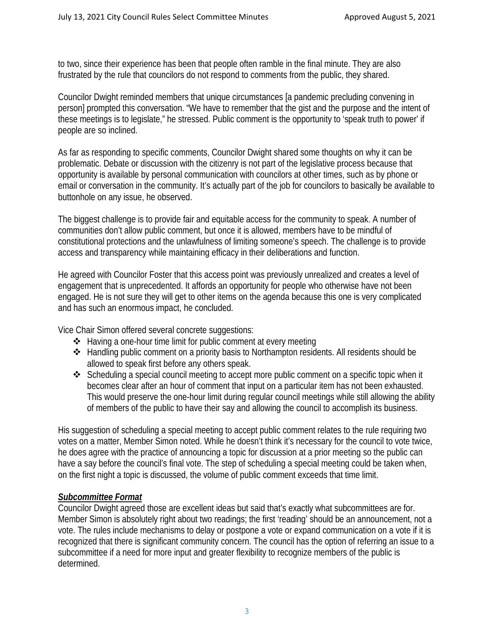to two, since their experience has been that people often ramble in the final minute. They are also frustrated by the rule that councilors do not respond to comments from the public, they shared.

Councilor Dwight reminded members that unique circumstances [a pandemic precluding convening in person] prompted this conversation. "We have to remember that the gist and the purpose and the intent of these meetings is to legislate," he stressed. Public comment is the opportunity to 'speak truth to power' if people are so inclined.

As far as responding to specific comments, Councilor Dwight shared some thoughts on why it can be problematic. Debate or discussion with the citizenry is not part of the legislative process because that opportunity is available by personal communication with councilors at other times, such as by phone or email or conversation in the community. It's actually part of the job for councilors to basically be available to buttonhole on any issue, he observed.

The biggest challenge is to provide fair and equitable access for the community to speak. A number of communities don't allow public comment, but once it is allowed, members have to be mindful of constitutional protections and the unlawfulness of limiting someone's speech. The challenge is to provide access and transparency while maintaining efficacy in their deliberations and function.

He agreed with Councilor Foster that this access point was previously unrealized and creates a level of engagement that is unprecedented. It affords an opportunity for people who otherwise have not been engaged. He is not sure they will get to other items on the agenda because this one is very complicated and has such an enormous impact, he concluded.

Vice Chair Simon offered several concrete suggestions:

- Having a one-hour time limit for public comment at every meeting
- $\triangle$  Handling public comment on a priority basis to Northampton residents. All residents should be allowed to speak first before any others speak.
- $\triangle$  Scheduling a special council meeting to accept more public comment on a specific topic when it becomes clear after an hour of comment that input on a particular item has not been exhausted. This would preserve the one-hour limit during regular council meetings while still allowing the ability of members of the public to have their say and allowing the council to accomplish its business.

His suggestion of scheduling a special meeting to accept public comment relates to the rule requiring two votes on a matter, Member Simon noted. While he doesn't think it's necessary for the council to vote twice, he does agree with the practice of announcing a topic for discussion at a prior meeting so the public can have a say before the council's final vote. The step of scheduling a special meeting could be taken when, on the first night a topic is discussed, the volume of public comment exceeds that time limit.

# *Subcommittee Format*

Councilor Dwight agreed those are excellent ideas but said that's exactly what subcommittees are for. Member Simon is absolutely right about two readings; the first 'reading' should be an announcement, not a vote. The rules include mechanisms to delay or postpone a vote or expand communication on a vote if it is recognized that there is significant community concern. The council has the option of referring an issue to a subcommittee if a need for more input and greater flexibility to recognize members of the public is determined.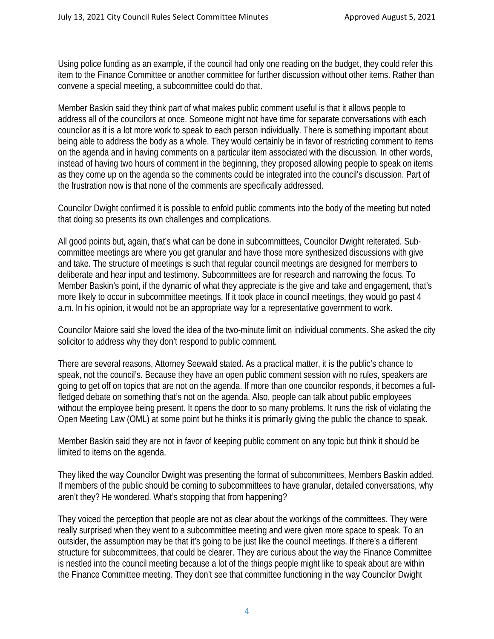Using police funding as an example, if the council had only one reading on the budget, they could refer this item to the Finance Committee or another committee for further discussion without other items. Rather than convene a special meeting, a subcommittee could do that.

Member Baskin said they think part of what makes public comment useful is that it allows people to address all of the councilors at once. Someone might not have time for separate conversations with each councilor as it is a lot more work to speak to each person individually. There is something important about being able to address the body as a whole. They would certainly be in favor of restricting comment to items on the agenda and in having comments on a particular item associated with the discussion. In other words, instead of having two hours of comment in the beginning, they proposed allowing people to speak on items as they come up on the agenda so the comments could be integrated into the council's discussion. Part of the frustration now is that none of the comments are specifically addressed.

Councilor Dwight confirmed it is possible to enfold public comments into the body of the meeting but noted that doing so presents its own challenges and complications.

All good points but, again, that's what can be done in subcommittees, Councilor Dwight reiterated. Subcommittee meetings are where you get granular and have those more synthesized discussions with give and take. The structure of meetings is such that regular council meetings are designed for members to deliberate and hear input and testimony. Subcommittees are for research and narrowing the focus. To Member Baskin's point, if the dynamic of what they appreciate is the give and take and engagement, that's more likely to occur in subcommittee meetings. If it took place in council meetings, they would go past 4 a.m. In his opinion, it would not be an appropriate way for a representative government to work.

Councilor Maiore said she loved the idea of the two-minute limit on individual comments. She asked the city solicitor to address why they don't respond to public comment.

There are several reasons, Attorney Seewald stated. As a practical matter, it is the public's chance to speak, not the council's. Because they have an open public comment session with no rules, speakers are going to get off on topics that are not on the agenda. If more than one councilor responds, it becomes a fullfledged debate on something that's not on the agenda. Also, people can talk about public employees without the employee being present. It opens the door to so many problems. It runs the risk of violating the Open Meeting Law (OML) at some point but he thinks it is primarily giving the public the chance to speak.

Member Baskin said they are not in favor of keeping public comment on any topic but think it should be limited to items on the agenda.

They liked the way Councilor Dwight was presenting the format of subcommittees, Members Baskin added. If members of the public should be coming to subcommittees to have granular, detailed conversations, why aren't they? He wondered. What's stopping that from happening?

They voiced the perception that people are not as clear about the workings of the committees. They were really surprised when they went to a subcommittee meeting and were given more space to speak. To an outsider, the assumption may be that it's going to be just like the council meetings. If there's a different structure for subcommittees, that could be clearer. They are curious about the way the Finance Committee is nestled into the council meeting because a lot of the things people might like to speak about are within the Finance Committee meeting. They don't see that committee functioning in the way Councilor Dwight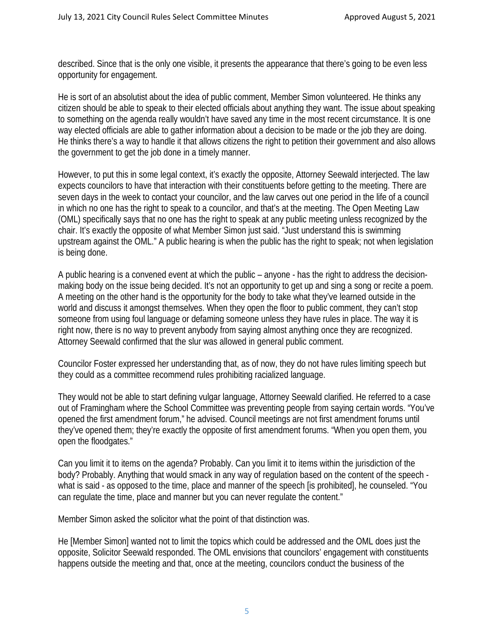described. Since that is the only one visible, it presents the appearance that there's going to be even less opportunity for engagement.

He is sort of an absolutist about the idea of public comment, Member Simon volunteered. He thinks any citizen should be able to speak to their elected officials about anything they want. The issue about speaking to something on the agenda really wouldn't have saved any time in the most recent circumstance. It is one way elected officials are able to gather information about a decision to be made or the job they are doing. He thinks there's a way to handle it that allows citizens the right to petition their government and also allows the government to get the job done in a timely manner.

However, to put this in some legal context, it's exactly the opposite, Attorney Seewald interjected. The law expects councilors to have that interaction with their constituents before getting to the meeting. There are seven days in the week to contact your councilor, and the law carves out one period in the life of a council in which no one has the right to speak to a councilor, and that's at the meeting. The Open Meeting Law (OML) specifically says that no one has the right to speak at any public meeting unless recognized by the chair. It's exactly the opposite of what Member Simon just said. "Just understand this is swimming upstream against the OML." A public hearing is when the public has the right to speak; not when legislation is being done.

A public hearing is a convened event at which the public – anyone - has the right to address the decisionmaking body on the issue being decided. It's not an opportunity to get up and sing a song or recite a poem. A meeting on the other hand is the opportunity for the body to take what they've learned outside in the world and discuss it amongst themselves. When they open the floor to public comment, they can't stop someone from using foul language or defaming someone unless they have rules in place. The way it is right now, there is no way to prevent anybody from saying almost anything once they are recognized. Attorney Seewald confirmed that the slur was allowed in general public comment.

Councilor Foster expressed her understanding that, as of now, they do not have rules limiting speech but they could as a committee recommend rules prohibiting racialized language.

They would not be able to start defining vulgar language, Attorney Seewald clarified. He referred to a case out of Framingham where the School Committee was preventing people from saying certain words. "You've opened the first amendment forum," he advised. Council meetings are not first amendment forums until they've opened them; they're exactly the opposite of first amendment forums. "When you open them, you open the floodgates."

Can you limit it to items on the agenda? Probably. Can you limit it to items within the jurisdiction of the body? Probably. Anything that would smack in any way of regulation based on the content of the speech what is said - as opposed to the time, place and manner of the speech [is prohibited], he counseled. "You can regulate the time, place and manner but you can never regulate the content."

Member Simon asked the solicitor what the point of that distinction was.

He [Member Simon] wanted not to limit the topics which could be addressed and the OML does just the opposite, Solicitor Seewald responded. The OML envisions that councilors' engagement with constituents happens outside the meeting and that, once at the meeting, councilors conduct the business of the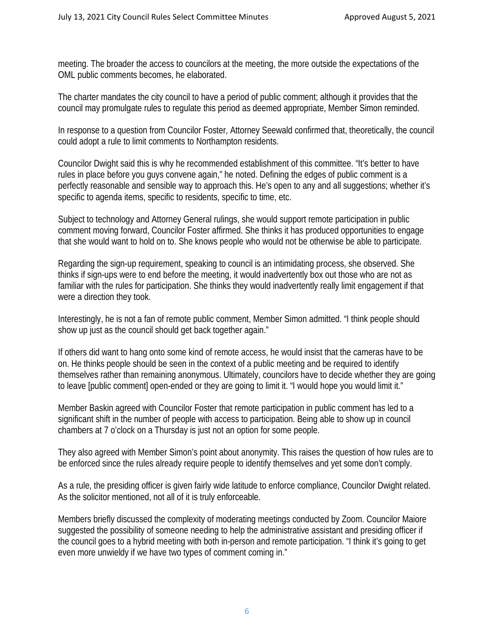meeting. The broader the access to councilors at the meeting, the more outside the expectations of the OML public comments becomes, he elaborated.

The charter mandates the city council to have a period of public comment; although it provides that the council may promulgate rules to regulate this period as deemed appropriate, Member Simon reminded.

In response to a question from Councilor Foster, Attorney Seewald confirmed that, theoretically, the council could adopt a rule to limit comments to Northampton residents.

Councilor Dwight said this is why he recommended establishment of this committee. "It's better to have rules in place before you guys convene again," he noted. Defining the edges of public comment is a perfectly reasonable and sensible way to approach this. He's open to any and all suggestions; whether it's specific to agenda items, specific to residents, specific to time, etc.

Subject to technology and Attorney General rulings, she would support remote participation in public comment moving forward, Councilor Foster affirmed. She thinks it has produced opportunities to engage that she would want to hold on to. She knows people who would not be otherwise be able to participate.

Regarding the sign-up requirement, speaking to council is an intimidating process, she observed. She thinks if sign-ups were to end before the meeting, it would inadvertently box out those who are not as familiar with the rules for participation. She thinks they would inadvertently really limit engagement if that were a direction they took.

Interestingly, he is not a fan of remote public comment, Member Simon admitted. "I think people should show up just as the council should get back together again."

If others did want to hang onto some kind of remote access, he would insist that the cameras have to be on. He thinks people should be seen in the context of a public meeting and be required to identify themselves rather than remaining anonymous. Ultimately, councilors have to decide whether they are going to leave [public comment] open-ended or they are going to limit it. "I would hope you would limit it."

Member Baskin agreed with Councilor Foster that remote participation in public comment has led to a significant shift in the number of people with access to participation. Being able to show up in council chambers at 7 o'clock on a Thursday is just not an option for some people.

They also agreed with Member Simon's point about anonymity. This raises the question of how rules are to be enforced since the rules already require people to identify themselves and yet some don't comply.

As a rule, the presiding officer is given fairly wide latitude to enforce compliance, Councilor Dwight related. As the solicitor mentioned, not all of it is truly enforceable.

Members briefly discussed the complexity of moderating meetings conducted by Zoom. Councilor Maiore suggested the possibility of someone needing to help the administrative assistant and presiding officer if the council goes to a hybrid meeting with both in-person and remote participation. "I think it's going to get even more unwieldy if we have two types of comment coming in."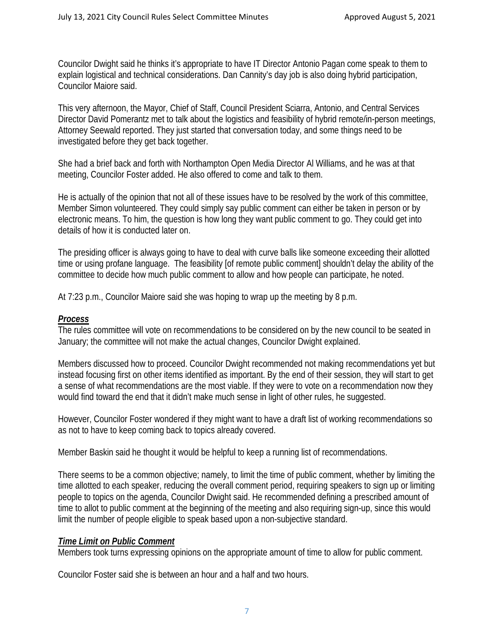Councilor Dwight said he thinks it's appropriate to have IT Director Antonio Pagan come speak to them to explain logistical and technical considerations. Dan Cannity's day job is also doing hybrid participation, Councilor Maiore said.

This very afternoon, the Mayor, Chief of Staff, Council President Sciarra, Antonio, and Central Services Director David Pomerantz met to talk about the logistics and feasibility of hybrid remote/in-person meetings, Attorney Seewald reported. They just started that conversation today, and some things need to be investigated before they get back together.

She had a brief back and forth with Northampton Open Media Director Al Williams, and he was at that meeting, Councilor Foster added. He also offered to come and talk to them.

He is actually of the opinion that not all of these issues have to be resolved by the work of this committee, Member Simon volunteered. They could simply say public comment can either be taken in person or by electronic means. To him, the question is how long they want public comment to go. They could get into details of how it is conducted later on.

The presiding officer is always going to have to deal with curve balls like someone exceeding their allotted time or using profane language. The feasibility [of remote public comment] shouldn't delay the ability of the committee to decide how much public comment to allow and how people can participate, he noted.

At 7:23 p.m., Councilor Maiore said she was hoping to wrap up the meeting by 8 p.m.

# *Process*

The rules committee will vote on recommendations to be considered on by the new council to be seated in January; the committee will not make the actual changes, Councilor Dwight explained.

Members discussed how to proceed. Councilor Dwight recommended not making recommendations yet but instead focusing first on other items identified as important. By the end of their session, they will start to get a sense of what recommendations are the most viable. If they were to vote on a recommendation now they would find toward the end that it didn't make much sense in light of other rules, he suggested.

However, Councilor Foster wondered if they might want to have a draft list of working recommendations so as not to have to keep coming back to topics already covered.

Member Baskin said he thought it would be helpful to keep a running list of recommendations.

There seems to be a common objective; namely, to limit the time of public comment, whether by limiting the time allotted to each speaker, reducing the overall comment period, requiring speakers to sign up or limiting people to topics on the agenda, Councilor Dwight said. He recommended defining a prescribed amount of time to allot to public comment at the beginning of the meeting and also requiring sign-up, since this would limit the number of people eligible to speak based upon a non-subjective standard.

# *Time Limit on Public Comment*

Members took turns expressing opinions on the appropriate amount of time to allow for public comment.

Councilor Foster said she is between an hour and a half and two hours.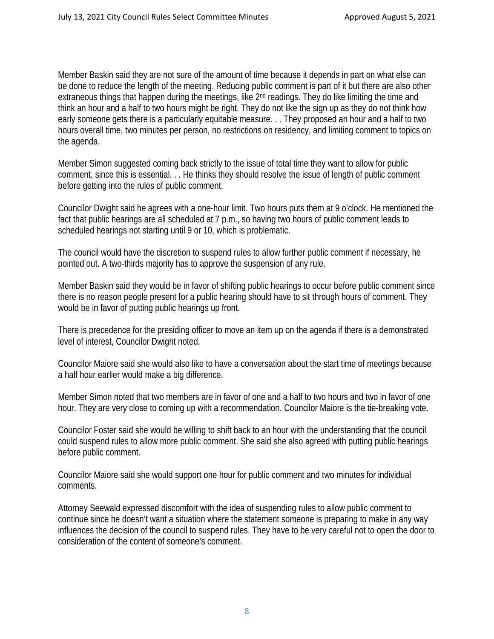Member Baskin said they are not sure of the amount of time because it depends in part on what else can be done to reduce the length of the meeting. Reducing public comment is part of it but there are also other extraneous things that happen during the meetings, like 2nd readings. They do like limiting the time and think an hour and a half to two hours might be right. They do not like the sign up as they do not think how early someone gets there is a particularly equitable measure. . . They proposed an hour and a half to two hours overall time, two minutes per person, no restrictions on residency, and limiting comment to topics on the agenda.

Member Simon suggested coming back strictly to the issue of total time they want to allow for public comment, since this is essential. . . He thinks they should resolve the issue of length of public comment before getting into the rules of public comment.

Councilor Dwight said he agrees with a one-hour limit. Two hours puts them at 9 o'clock. He mentioned the fact that public hearings are all scheduled at 7 p.m., so having two hours of public comment leads to scheduled hearings not starting until 9 or 10, which is problematic.

The council would have the discretion to suspend rules to allow further public comment if necessary, he pointed out. A two-thirds majority has to approve the suspension of any rule.

Member Baskin said they would be in favor of shifting public hearings to occur before public comment since there is no reason people present for a public hearing should have to sit through hours of comment. They would be in favor of putting public hearings up front.

There is precedence for the presiding officer to move an item up on the agenda if there is a demonstrated level of interest, Councilor Dwight noted.

Councilor Maiore said she would also like to have a conversation about the start time of meetings because a half hour earlier would make a big difference.

Member Simon noted that two members are in favor of one and a half to two hours and two in favor of one hour. They are very close to coming up with a recommendation. Councilor Maiore is the tie-breaking vote.

Councilor Foster said she would be willing to shift back to an hour with the understanding that the council could suspend rules to allow more public comment. She said she also agreed with putting public hearings before public comment.

Councilor Maiore said she would support one hour for public comment and two minutes for individual comments.

Attorney Seewald expressed discomfort with the idea of suspending rules to allow public comment to continue since he doesn't want a situation where the statement someone is preparing to make in any way influences the decision of the council to suspend rules. They have to be very careful not to open the door to consideration of the content of someone's comment.